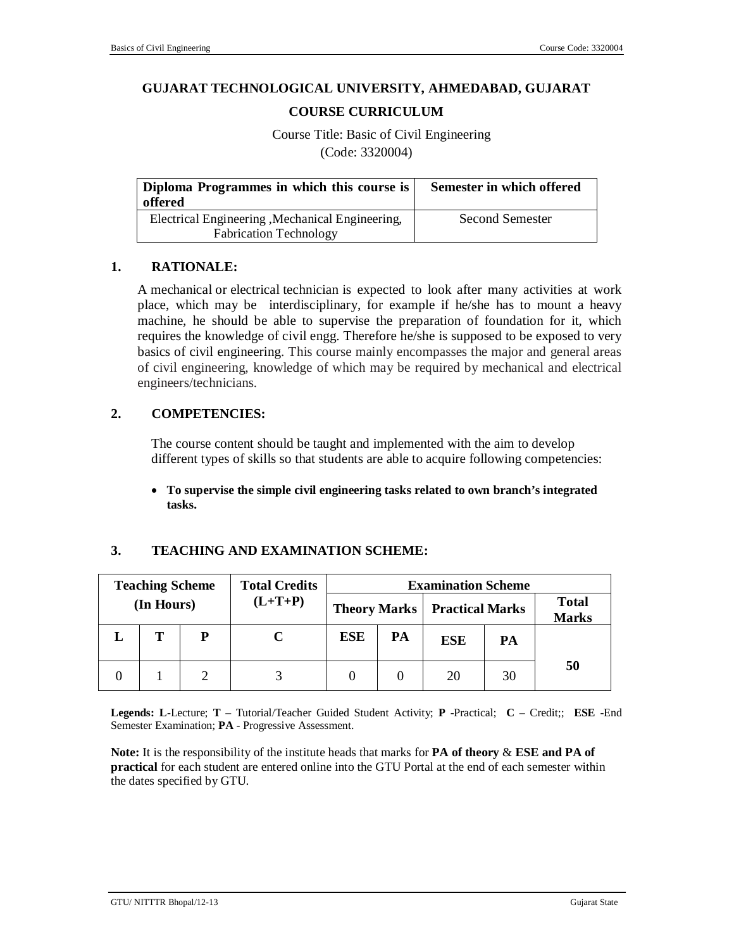# **GUJARAT TECHNOLOGICAL UNIVERSITY, AHMEDABAD, GUJARAT**

## **COURSE CURRICULUM**

Course Title: Basic of Civil Engineering (Code: 3320004)

| Diploma Programmes in which this course is<br>offered                            | Semester in which offered |
|----------------------------------------------------------------------------------|---------------------------|
| Electrical Engineering, Mechanical Engineering,<br><b>Fabrication Technology</b> | <b>Second Semester</b>    |

# **1. RATIONALE:**

 A mechanical or electrical technician is expected to look after many activities at work place, which may be interdisciplinary, for example if he/she has to mount a heavy machine, he should be able to supervise the preparation of foundation for it, which requires the knowledge of civil engg. Therefore he/she is supposed to be exposed to very basics of civil engineering. This course mainly encompasses the major and general areas of civil engineering, knowledge of which may be required by mechanical and electrical engineers/technicians.

# **2. COMPETENCIES:**

The course content should be taught and implemented with the aim to develop different types of skills so that students are able to acquire following competencies:

 **To supervise the simple civil engineering tasks related to own branch's integrated tasks.**

# **3. TEACHING AND EXAMINATION SCHEME:**

|                              | <b>Examination Scheme</b> |            |                                       |            | <b>Total Credits</b> | <b>Teaching Scheme</b> |   |  |
|------------------------------|---------------------------|------------|---------------------------------------|------------|----------------------|------------------------|---|--|
| <b>Total</b><br><b>Marks</b> |                           |            | <b>Theory Marks   Practical Marks</b> |            | $(L+T+P)$            | (In Hours)             |   |  |
|                              | PА                        | <b>ESE</b> | PA                                    | <b>ESE</b> |                      | P                      | T |  |
| 50                           | 30                        | 20         |                                       |            |                      |                        |   |  |

**Legends: L**-Lecture; **T** – Tutorial/Teacher Guided Student Activity; **P** -Practical; **C** – Credit;; **ESE** -End Semester Examination; **PA** - Progressive Assessment.

**Note:** It is the responsibility of the institute heads that marks for **PA of theory** & **ESE and PA of practical** for each student are entered online into the GTU Portal at the end of each semester within the dates specified by GTU.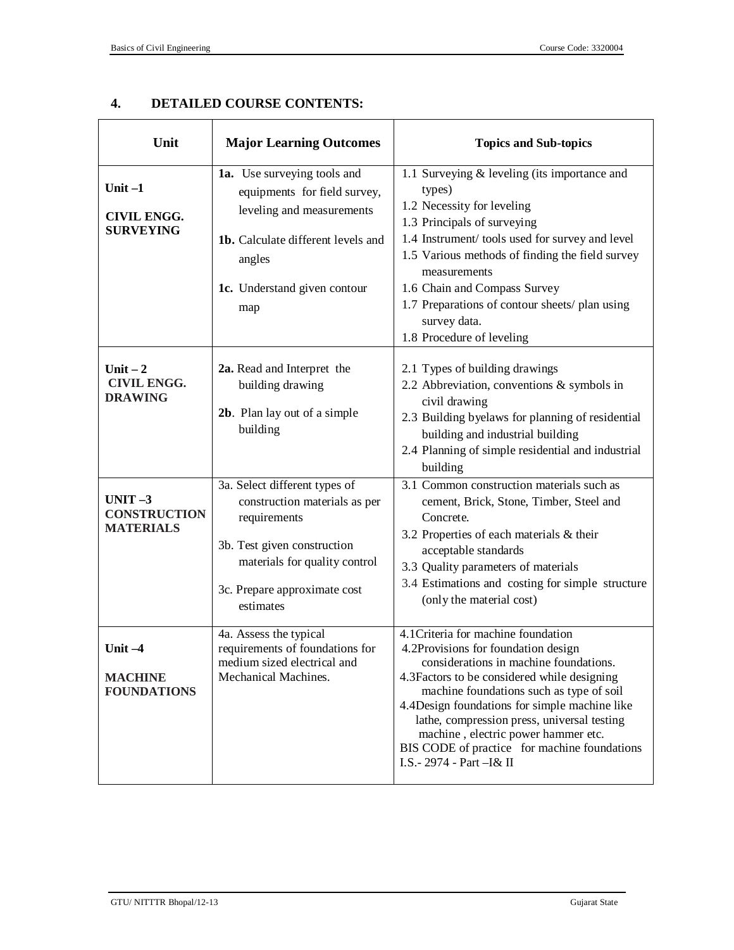$\mathsf{r}$ 

| Unit                                                | <b>Major Learning Outcomes</b>                                                                                                                                                              | <b>Topics and Sub-topics</b>                                                                                                                                                                                                                                                                                                                                                                                                         |
|-----------------------------------------------------|---------------------------------------------------------------------------------------------------------------------------------------------------------------------------------------------|--------------------------------------------------------------------------------------------------------------------------------------------------------------------------------------------------------------------------------------------------------------------------------------------------------------------------------------------------------------------------------------------------------------------------------------|
| Unit $-1$<br><b>CIVIL ENGG.</b><br><b>SURVEYING</b> | 1a. Use surveying tools and<br>equipments for field survey,<br>leveling and measurements<br>1b. Calculate different levels and<br>angles<br>1c. Understand given contour<br>map             | 1.1 Surveying & leveling (its importance and<br>types)<br>1.2 Necessity for leveling<br>1.3 Principals of surveying<br>1.4 Instrument/ tools used for survey and level<br>1.5 Various methods of finding the field survey<br>measurements<br>1.6 Chain and Compass Survey<br>1.7 Preparations of contour sheets/ plan using<br>survey data.<br>1.8 Procedure of leveling                                                             |
| Unit $-2$<br><b>CIVIL ENGG.</b><br><b>DRAWING</b>   | 2a. Read and Interpret the<br>building drawing<br>2b. Plan lay out of a simple<br>building                                                                                                  | 2.1 Types of building drawings<br>2.2 Abbreviation, conventions & symbols in<br>civil drawing<br>2.3 Building byelaws for planning of residential<br>building and industrial building<br>2.4 Planning of simple residential and industrial<br>building                                                                                                                                                                               |
| $UNIT-3$<br><b>CONSTRUCTION</b><br><b>MATERIALS</b> | 3a. Select different types of<br>construction materials as per<br>requirements<br>3b. Test given construction<br>materials for quality control<br>3c. Prepare approximate cost<br>estimates | 3.1 Common construction materials such as<br>cement, Brick, Stone, Timber, Steel and<br>Concrete.<br>3.2 Properties of each materials & their<br>acceptable standards<br>3.3 Quality parameters of materials<br>3.4 Estimations and costing for simple structure<br>(only the material cost)                                                                                                                                         |
| Unit $-4$<br><b>MACHINE</b><br><b>FOUNDATIONS</b>   | 4a. Assess the typical<br>requirements of foundations for<br>medium sized electrical and<br>Mechanical Machines.                                                                            | 4.1 Criteria for machine foundation<br>4.2Provisions for foundation design<br>considerations in machine foundations.<br>4.3 Factors to be considered while designing<br>machine foundations such as type of soil<br>4.4Design foundations for simple machine like<br>lathe, compression press, universal testing<br>machine, electric power hammer etc.<br>BIS CODE of practice for machine foundations<br>I.S.- 2974 - Part - I& II |

# **4. DETAILED COURSE CONTENTS:**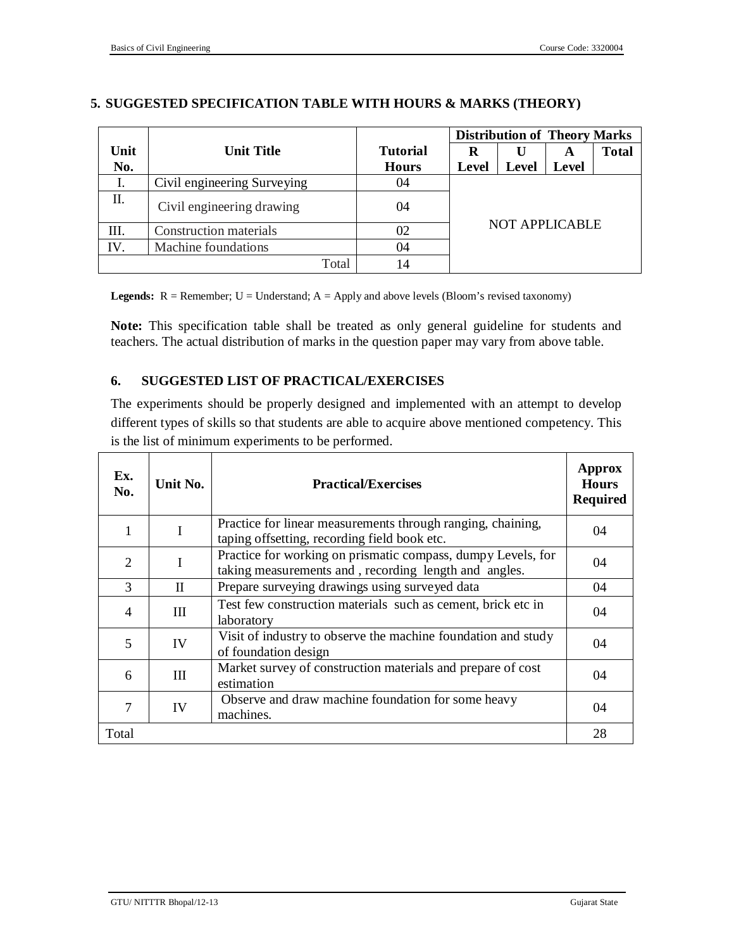|      |                             |                 | <b>Distribution of Theory Marks</b> |              |       |              |
|------|-----------------------------|-----------------|-------------------------------------|--------------|-------|--------------|
| Unit | <b>Unit Title</b>           | <b>Tutorial</b> | R                                   | U            | A     | <b>Total</b> |
| No.  |                             | <b>Hours</b>    | Level                               | <b>Level</b> | Level |              |
|      | Civil engineering Surveying | 04              |                                     |              |       |              |
| II.  | Civil engineering drawing   | 04              |                                     |              |       |              |
| Ш.   | Construction materials      | 02              | NOT APPLICABLE                      |              |       |              |
| IV.  | Machine foundations         | 04              |                                     |              |       |              |
|      | Total                       | 14              |                                     |              |       |              |

#### **5. SUGGESTED SPECIFICATION TABLE WITH HOURS & MARKS (THEORY)**

Legends: R = Remember; U = Understand; A = Apply and above levels (Bloom's revised taxonomy)

**Note:** This specification table shall be treated as only general guideline for students and teachers. The actual distribution of marks in the question paper may vary from above table.

#### **6. SUGGESTED LIST OF PRACTICAL/EXERCISES**

The experiments should be properly designed and implemented with an attempt to develop different types of skills so that students are able to acquire above mentioned competency. This is the list of minimum experiments to be performed.

| Ex.<br>No.     | Unit No.     | <b>Practical/Exercises</b>                                                                                            |    |
|----------------|--------------|-----------------------------------------------------------------------------------------------------------------------|----|
| 1              |              | Practice for linear measurements through ranging, chaining,<br>taping offsetting, recording field book etc.           | 04 |
| $\overline{2}$ |              | Practice for working on prismatic compass, dumpy Levels, for<br>taking measurements and, recording length and angles. | 04 |
| 3              | $\mathbf{I}$ | Prepare surveying drawings using surveyed data                                                                        | 04 |
| 4              | Ш            | Test few construction materials such as cement, brick etc in<br>laboratory                                            | 04 |
| 5              | IV           | Visit of industry to observe the machine foundation and study<br>of foundation design                                 | 04 |
| 6              | Ш            | Market survey of construction materials and prepare of cost<br>estimation                                             | 04 |
| 7              | IV           | Observe and draw machine foundation for some heavy<br>machines.                                                       | 04 |
| Total          |              |                                                                                                                       | 28 |